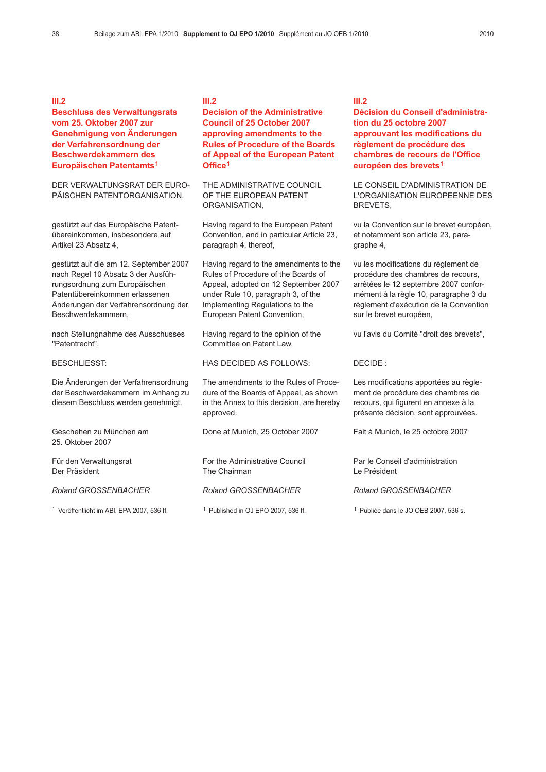### III.2

## Beschluss des Verwaltungsrats vom 25. Oktober 2007 zur Genehmigung von Änderungen der Verfahrensordnung der Beschwerdekammern des Europäischen Patentamts<sup>1</sup>

DER VERWALTUNGSRAT DER EURO-PÄISCHEN PATENTORGANISATION,

gestützt auf das Europäische Patentübereinkommen, insbesondere auf Artikel 23 Absatz 4,

gestützt auf die am 12. September 2007 nach Regel 10 Absatz 3 der Ausführungsordnung zum Europäischen Patentübereinkommen erlassenen Änderungen der Verfahrensordnung der Beschwerdekammern,

nach Stellungnahme des Ausschusses "Patentrecht",

BESCHLIESST:

Die Änderungen der Verfahrensordnung der Beschwerdekammern im Anhang zu diesem Beschluss werden genehmigt.

Geschehen zu München am 25. Oktober 2007

Für den Verwaltungsrat Der Präsident

Roland GROSSENBACHER

<sup>1</sup> Veröffentlicht im ABl. EPA 2007, 536 ff. <sup>1</sup> Published in OJ EPO 2007, 536 ff. <sup>1</sup> Publiée dans le JO OEB 2007, 536 s.

#### III.2

## Decision of the Administrative Council of 25 October 2007 approving amendments to the Rules of Procedure of the Boards of Appeal of the European Patent Office<sup>1</sup>

THE ADMINISTRATIVE COUNCIL OF THE EUROPEAN PATENT ORGANISATION,

Having regard to the European Patent Convention, and in particular Article 23, paragraph 4, thereof,

Having regard to the amendments to the Rules of Procedure of the Boards of Appeal, adopted on 12 September 2007 under Rule 10, paragraph 3, of the Implementing Regulations to the European Patent Convention,

Having regard to the opinion of the Committee on Patent Law.

HAS DECIDED AS FOLLOWS:

The amendments to the Rules of Procedure of the Boards of Appeal, as shown in the Annex to this decision, are hereby approved.

Done at Munich, 25 October 2007

For the Administrative Council The Chairman

#### Roland GROSSENBACHER

#### III.2

Décision du Conseil d'administration du 25 octobre 2007 approuvant les modifications du règlement de procédure des chambres de recours de l'Office européen des brevets<sup>1</sup>

LE CONSEIL D'ADMINISTRATION DE L'ORGANISATION EUROPEENNE DES BREVETS,

vu la Convention sur le brevet européen, et notamment son article 23, paragraphe 4,

vu les modifications du règlement de procédure des chambres de recours, arrêtées le 12 septembre 2007 conformément à la règle 10, paragraphe 3 du règlement d'exécution de la Convention sur le brevet européen,

vu l'avis du Comité "droit des brevets",

#### DECIDE :

Les modifications apportées au règlement de procédure des chambres de recours, qui figurent en annexe à la présente décision, sont approuvées.

Fait à Munich, le 25 octobre 2007

Par le Conseil d'administration Le Président

#### Roland GROSSENBACHER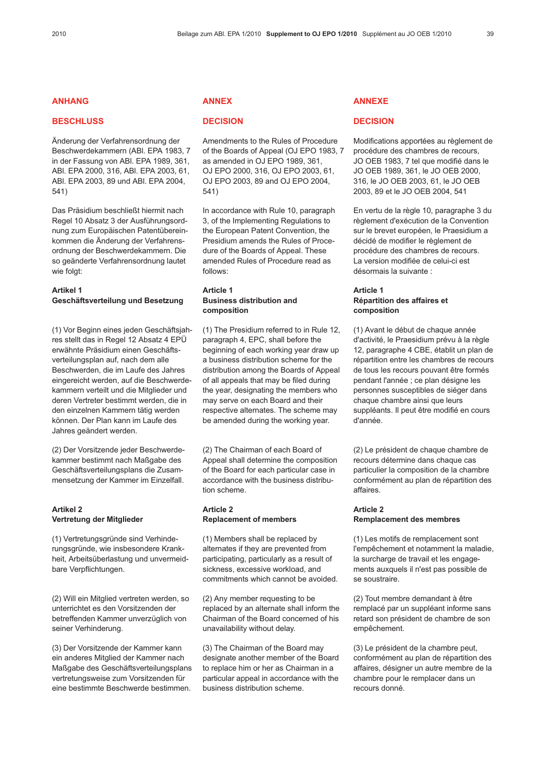## ANHANG

#### **BESCHLUSS**

Änderung der Verfahrensordnung der Beschwerdekammern (ABl. EPA 1983, 7 in der Fassung von ABl. EPA 1989, 361, ABl. EPA 2000, 316, ABl. EPA 2003, 61, ABl. EPA 2003, 89 und ABl. EPA 2004, 541)

Das Präsidium beschließt hiermit nach Regel 10 Absatz 3 der Ausführungsordnung zum Europäischen Patentübereinkommen die Änderung der Verfahrensordnung der Beschwerdekammern. Die so geänderte Verfahrensordnung lautet wie folgt:

# Artikel 1 Geschäftsverteilung und Besetzung

(1) Vor Beginn eines jeden Geschäftsjahres stellt das in Regel 12 Absatz 4 EPÜ erwähnte Präsidium einen Geschäftsverteilungsplan auf, nach dem alle Beschwerden, die im Laufe des Jahres eingereicht werden, auf die Beschwerdekammern verteilt und die Mitglieder und deren Vertreter bestimmt werden, die in den einzelnen Kammern tätig werden können. Der Plan kann im Laufe des Jahres geändert werden.

(2) Der Vorsitzende jeder Beschwerdekammer bestimmt nach Maßgabe des Geschäftsverteilungsplans die Zusammensetzung der Kammer im Einzelfall.

## Artikel 2 Vertretung der Mitglieder

(1) Vertretungsgründe sind Verhinderungsgründe, wie insbesondere Krankheit, Arbeitsüberlastung und unvermeidbare Verpflichtungen.

(2) Will ein Mitglied vertreten werden, so unterrichtet es den Vorsitzenden der betreffenden Kammer unverzüglich von seiner Verhinderung.

(3) Der Vorsitzende der Kammer kann ein anderes Mitglied der Kammer nach Maßgabe des Geschäftsverteilungsplans vertretungsweise zum Vorsitzenden für eine bestimmte Beschwerde bestimmen.

# ANNEX

### **DECISION**

Amendments to the Rules of Procedure of the Boards of Appeal (OJ EPO 1983, 7 as amended in OJ EPO 1989, 361, OJ EPO 2000, 316, OJ EPO 2003, 61, OJ EPO 2003, 89 and OJ EPO 2004, 541)

In accordance with Rule 10, paragraph 3, of the Implementing Regulations to the European Patent Convention, the Presidium amends the Rules of Procedure of the Boards of Appeal. These amended Rules of Procedure read as follows:

### Article 1 Business distribution and composition

(1) The Presidium referred to in Rule 12, paragraph 4, EPC, shall before the beginning of each working year draw up a business distribution scheme for the distribution among the Boards of Appeal of all appeals that may be filed during the year, designating the members who may serve on each Board and their respective alternates. The scheme may be amended during the working year.

(2) The Chairman of each Board of Appeal shall determine the composition of the Board for each particular case in accordance with the business distribution scheme.

## Article 2 Replacement of members

(1) Members shall be replaced by alternates if they are prevented from participating, particularly as a result of sickness, excessive workload, and commitments which cannot be avoided.

(2) Any member requesting to be replaced by an alternate shall inform the Chairman of the Board concerned of his unavailability without delay.

(3) The Chairman of the Board may designate another member of the Board to replace him or her as Chairman in a particular appeal in accordance with the business distribution scheme.

# ANNEXE

#### **DECISION**

Modifications apportées au règlement de procédure des chambres de recours, JO OEB 1983, 7 tel que modifié dans le JO OEB 1989, 361, le JO OEB 2000, 316, le JO OEB 2003, 61, le JO OEB 2003, 89 et le JO OEB 2004, 541

En vertu de la règle 10, paragraphe 3 du règlement d'exécution de la Convention sur le brevet européen, le Praesidium a décidé de modifier le règlement de procédure des chambres de recours. La version modifiée de celui-ci est désormais la suivante :

## Article 1 Répartition des affaires et composition

(1) Avant le début de chaque année d'activité, le Praesidium prévu à la règle 12, paragraphe 4 CBE, établit un plan de répartition entre les chambres de recours de tous les recours pouvant être formés pendant l'année ; ce plan désigne les personnes susceptibles de siéger dans chaque chambre ainsi que leurs suppléants. Il peut être modifié en cours d'année.

(2) Le président de chaque chambre de recours détermine dans chaque cas particulier la composition de la chambre conformément au plan de répartition des affaires.

## Article 2 Remplacement des membres

(1) Les motifs de remplacement sont l'empêchement et notamment la maladie, la surcharge de travail et les engagements auxquels il n'est pas possible de se soustraire.

(2) Tout membre demandant à être remplacé par un suppléant informe sans retard son président de chambre de son empêchement.

(3) Le président de la chambre peut, conformément au plan de répartition des affaires, désigner un autre membre de la chambre pour le remplacer dans un recours donné.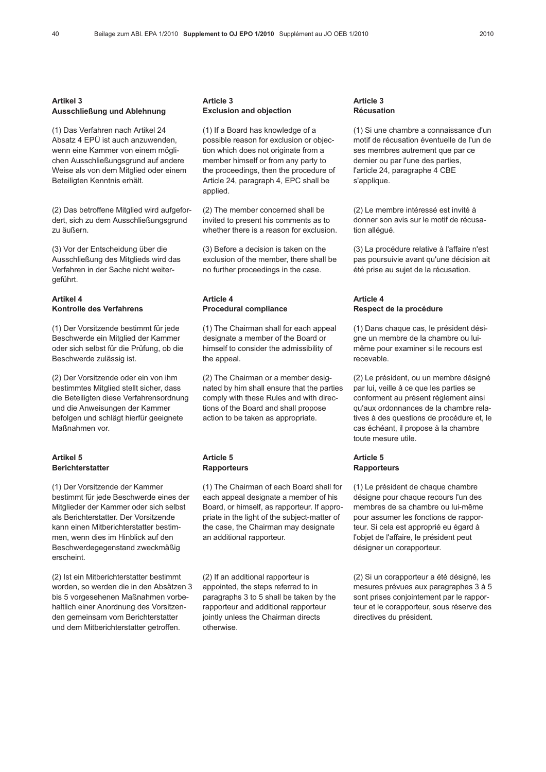### Artikel 3 Ausschließung und Ablehnung

(1) Das Verfahren nach Artikel 24 Absatz 4 EPÜ ist auch anzuwenden, wenn eine Kammer von einem möglichen Ausschließungsgrund auf andere Weise als von dem Mitglied oder einem Beteiligten Kenntnis erhält.

(2) Das betroffene Mitglied wird aufgefordert, sich zu dem Ausschließungsgrund zu äußern.

(3) Vor der Entscheidung über die Ausschließung des Mitglieds wird das Verfahren in der Sache nicht weitergeführt.

## Artikel 4 Kontrolle des Verfahrens

(1) Der Vorsitzende bestimmt für jede Beschwerde ein Mitglied der Kammer oder sich selbst für die Prüfung, ob die Beschwerde zulässig ist.

(2) Der Vorsitzende oder ein von ihm bestimmtes Mitglied stellt sicher, dass die Beteiligten diese Verfahrensordnung und die Anweisungen der Kammer befolgen und schlägt hierfür geeignete Maßnahmen vor.

## Artikel 5 **Berichterstatter**

(1) Der Vorsitzende der Kammer bestimmt für jede Beschwerde eines der Mitglieder der Kammer oder sich selbst als Berichterstatter. Der Vorsitzende kann einen Mitberichterstatter bestimmen, wenn dies im Hinblick auf den Beschwerdegegenstand zweckmäßig erscheint.

(2) Ist ein Mitberichterstatter bestimmt worden, so werden die in den Absätzen 3 bis 5 vorgesehenen Maßnahmen vorbehaltlich einer Anordnung des Vorsitzenden gemeinsam vom Berichterstatter und dem Mitberichterstatter getroffen.

#### Article 3 Exclusion and objection

(1) If a Board has knowledge of a possible reason for exclusion or objection which does not originate from a member himself or from any party to the proceedings, then the procedure of Article 24, paragraph 4, EPC shall be applied.

(2) The member concerned shall be invited to present his comments as to whether there is a reason for exclusion.

(3) Before a decision is taken on the exclusion of the member, there shall be no further proceedings in the case.

### Article 4 Procedural compliance

(1) The Chairman shall for each appeal designate a member of the Board or himself to consider the admissibility of the appeal.

(2) The Chairman or a member designated by him shall ensure that the parties comply with these Rules and with directions of the Board and shall propose action to be taken as appropriate.

#### Article 5 **Rapporteurs**

(1) The Chairman of each Board shall for each appeal designate a member of his Board, or himself, as rapporteur. If appropriate in the light of the subject-matter of the case, the Chairman may designate an additional rapporteur.

(2) If an additional rapporteur is appointed, the steps referred to in paragraphs 3 to 5 shall be taken by the rapporteur and additional rapporteur jointly unless the Chairman directs otherwise.

#### Article 3 Récusation

(1) Si une chambre a connaissance d'un motif de récusation éventuelle de l'un de ses membres autrement que par ce dernier ou par l'une des parties, l'article 24, paragraphe 4 CBE s'applique.

(2) Le membre intéressé est invité à donner son avis sur le motif de récusation allégué.

(3) La procédure relative à l'affaire n'est pas poursuivie avant qu'une décision ait été prise au sujet de la récusation.

### Article 4 Respect de la procédure

(1) Dans chaque cas, le président désigne un membre de la chambre ou luimême pour examiner si le recours est recevable.

(2) Le président, ou un membre désigné par lui, veille à ce que les parties se conforment au présent règlement ainsi qu'aux ordonnances de la chambre relatives à des questions de procédure et, le cas échéant, il propose à la chambre toute mesure utile.

### Article 5 **Rapporteurs**

(1) Le président de chaque chambre désigne pour chaque recours l'un des membres de sa chambre ou lui-même pour assumer les fonctions de rapporteur. Si cela est approprié eu égard à l'objet de l'affaire, le président peut désigner un corapporteur.

(2) Si un corapporteur a été désigné, les mesures prévues aux paragraphes 3 à 5 sont prises conjointement par le rapporteur et le corapporteur, sous réserve des directives du président.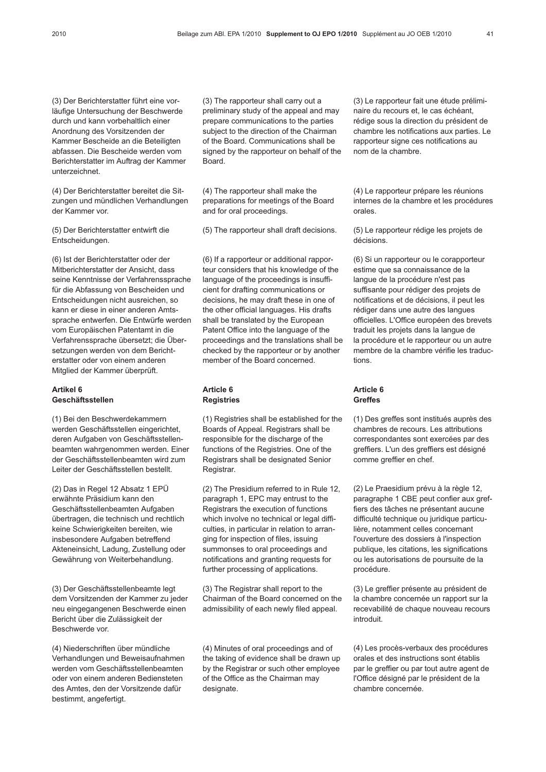(3) Der Berichterstatter führt eine vorläufige Untersuchung der Beschwerde durch und kann vorbehaltlich einer Anordnung des Vorsitzenden der Kammer Bescheide an die Beteiligten abfassen. Die Bescheide werden vom Berichterstatter im Auftrag der Kammer unterzeichnet.

(4) Der Berichterstatter bereitet die Sitzungen und mündlichen Verhandlungen der Kammer vor.

(5) Der Berichterstatter entwirft die Entscheidungen.

(6) Ist der Berichterstatter oder der Mitberichterstatter der Ansicht, dass seine Kenntnisse der Verfahrenssprache für die Abfassung von Bescheiden und Entscheidungen nicht ausreichen, so kann er diese in einer anderen Amtssprache entwerfen. Die Entwürfe werden vom Europäischen Patentamt in die Verfahrenssprache übersetzt; die Übersetzungen werden von dem Berichterstatter oder von einem anderen Mitglied der Kammer überprüft.

## Artikel 6 Geschäftsstellen

(1) Bei den Beschwerdekammern werden Geschäftsstellen eingerichtet, deren Aufgaben von Geschäftsstellenbeamten wahrgenommen werden. Einer der Geschäftsstellenbeamten wird zum Leiter der Geschäftsstellen bestellt.

(2) Das in Regel 12 Absatz 1 EPÜ erwähnte Präsidium kann den Geschäftsstellenbeamten Aufgaben übertragen, die technisch und rechtlich keine Schwierigkeiten bereiten, wie insbesondere Aufgaben betreffend Akteneinsicht, Ladung, Zustellung oder Gewährung von Weiterbehandlung.

(3) Der Geschäftsstellenbeamte legt dem Vorsitzenden der Kammer zu jeder neu eingegangenen Beschwerde einen Bericht über die Zulässigkeit der Beschwerde vor.

(4) Niederschriften über mündliche Verhandlungen und Beweisaufnahmen werden vom Geschäftsstellenbeamten oder von einem anderen Bediensteten des Amtes, den der Vorsitzende dafür bestimmt, angefertigt.

(3) The rapporteur shall carry out a preliminary study of the appeal and may prepare communications to the parties subject to the direction of the Chairman of the Board. Communications shall be signed by the rapporteur on behalf of the Board.

(4) The rapporteur shall make the preparations for meetings of the Board and for oral proceedings.

(5) The rapporteur shall draft decisions.

(6) If a rapporteur or additional rapporteur considers that his knowledge of the language of the proceedings is insufficient for drafting communications or decisions, he may draft these in one of the other official languages. His drafts shall be translated by the European Patent Office into the language of the proceedings and the translations shall be checked by the rapporteur or by another member of the Board concerned.

### Article 6 Registries

(1) Registries shall be established for the Boards of Appeal. Registrars shall be responsible for the discharge of the functions of the Registries. One of the Registrars shall be designated Senior Registrar.

(2) The Presidium referred to in Rule 12, paragraph 1, EPC may entrust to the Registrars the execution of functions which involve no technical or legal difficulties, in particular in relation to arranging for inspection of files, issuing summonses to oral proceedings and notifications and granting requests for further processing of applications.

(3) The Registrar shall report to the Chairman of the Board concerned on the admissibility of each newly filed appeal.

(4) Minutes of oral proceedings and of the taking of evidence shall be drawn up by the Registrar or such other employee of the Office as the Chairman may designate.

(3) Le rapporteur fait une étude préliminaire du recours et, le cas échéant, rédige sous la direction du président de chambre les notifications aux parties. Le rapporteur signe ces notifications au nom de la chambre.

(4) Le rapporteur prépare les réunions internes de la chambre et les procédures orales.

(5) Le rapporteur rédige les projets de décisions.

(6) Si un rapporteur ou le corapporteur estime que sa connaissance de la langue de la procédure n'est pas suffisante pour rédiger des projets de notifications et de décisions, il peut les rédiger dans une autre des langues officielles. L'Office européen des brevets traduit les projets dans la langue de la procédure et le rapporteur ou un autre membre de la chambre vérifie les traductions.

### Article 6 Greffes

(1) Des greffes sont institués auprès des chambres de recours. Les attributions correspondantes sont exercées par des greffiers. L'un des greffiers est désigné comme greffier en chef.

(2) Le Praesidium prévu à la règle 12, paragraphe 1 CBE peut confier aux greffiers des tâches ne présentant aucune difficulté technique ou juridique particulière, notamment celles concernant l'ouverture des dossiers à l'inspection publique, les citations, les significations ou les autorisations de poursuite de la procédure.

(3) Le greffier présente au président de la chambre concernée un rapport sur la recevabilité de chaque nouveau recours introduit.

(4) Les procès-verbaux des procédures orales et des instructions sont établis par le greffier ou par tout autre agent de l'Office désigné par le président de la chambre concernée.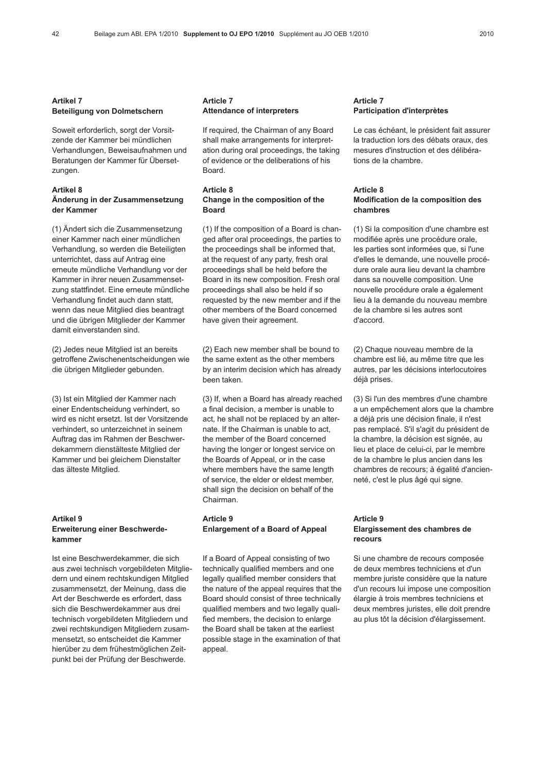### Artikel 7 Beteiligung von Dolmetschern

Soweit erforderlich, sorgt der Vorsitzende der Kammer bei mündlichen Verhandlungen, Beweisaufnahmen und Beratungen der Kammer für Übersetzungen.

#### Artikel 8 Änderung in der Zusammensetzung der Kammer

(1) Ändert sich die Zusammensetzung einer Kammer nach einer mündlichen Verhandlung, so werden die Beteiligten unterrichtet, dass auf Antrag eine erneute mündliche Verhandlung vor der Kammer in ihrer neuen Zusammensetzung stattfindet. Eine erneute mündliche Verhandlung findet auch dann statt, wenn das neue Mitglied dies beantragt und die übrigen Mitglieder der Kammer damit einverstanden sind.

(2) Jedes neue Mitglied ist an bereits getroffene Zwischenentscheidungen wie die übrigen Mitglieder gebunden.

(3) Ist ein Mitglied der Kammer nach einer Endentscheidung verhindert, so wird es nicht ersetzt. Ist der Vorsitzende verhindert, so unterzeichnet in seinem Auftrag das im Rahmen der Beschwerdekammern dienstälteste Mitglied der Kammer und bei gleichem Dienstalter das älteste Mitglied.

### Artikel 9 Erweiterung einer Beschwerdekammer

Ist eine Beschwerdekammer, die sich aus zwei technisch vorgebildeten Mitgliedern und einem rechtskundigen Mitglied zusammensetzt, der Meinung, dass die Art der Beschwerde es erfordert, dass sich die Beschwerdekammer aus drei technisch vorgebildeten Mitgliedern und zwei rechtskundigen Mitgliedern zusammensetzt, so entscheidet die Kammer hierüber zu dem frühestmöglichen Zeitpunkt bei der Prüfung der Beschwerde.

### Article 7 Attendance of interpreters

If required, the Chairman of any Board shall make arrangements for interpretation during oral proceedings, the taking of evidence or the deliberations of his Board.

### Article 8 Change in the composition of the Board

(1) If the composition of a Board is changed after oral proceedings, the parties to the proceedings shall be informed that, at the request of any party, fresh oral proceedings shall be held before the Board in its new composition. Fresh oral proceedings shall also be held if so requested by the new member and if the other members of the Board concerned have given their agreement.

(2) Each new member shall be bound to the same extent as the other members by an interim decision which has already been taken.

(3) If, when a Board has already reached a final decision, a member is unable to act, he shall not be replaced by an alternate. If the Chairman is unable to act, the member of the Board concerned having the longer or longest service on the Boards of Appeal, or in the case where members have the same length of service, the elder or eldest member, shall sign the decision on behalf of the Chairman.

### Article 9 Enlargement of a Board of Appeal

If a Board of Appeal consisting of two technically qualified members and one legally qualified member considers that the nature of the appeal requires that the Board should consist of three technically qualified members and two legally qualified members, the decision to enlarge the Board shall be taken at the earliest possible stage in the examination of that appeal.

#### Article 7 Participation d'interprètes

Le cas échéant, le président fait assurer la traduction lors des débats oraux, des mesures d'instruction et des délibérations de la chambre.

#### Article 8 Modification de la composition des chambres

(1) Si la composition d'une chambre est modifiée après une procédure orale, les parties sont informées que, si l'une d'elles le demande, une nouvelle procédure orale aura lieu devant la chambre dans sa nouvelle composition. Une nouvelle procédure orale a également lieu à la demande du nouveau membre de la chambre si les autres sont d'accord.

(2) Chaque nouveau membre de la chambre est lié, au même titre que les autres, par les décisions interlocutoires déjà prises.

(3) Si l'un des membres d'une chambre a un empêchement alors que la chambre a déjà pris une décision finale, il n'est pas remplacé. S'il s'agit du président de la chambre, la décision est signée, au lieu et place de celui-ci, par le membre de la chambre le plus ancien dans les chambres de recours; à égalité d'ancienneté, c'est le plus âgé qui signe.

#### Article 9 Elargissement des chambres de recours

Si une chambre de recours composée de deux membres techniciens et d'un membre juriste considère que la nature d'un recours lui impose une composition élargie à trois membres techniciens et deux membres juristes, elle doit prendre au plus tôt la décision d'élargissement.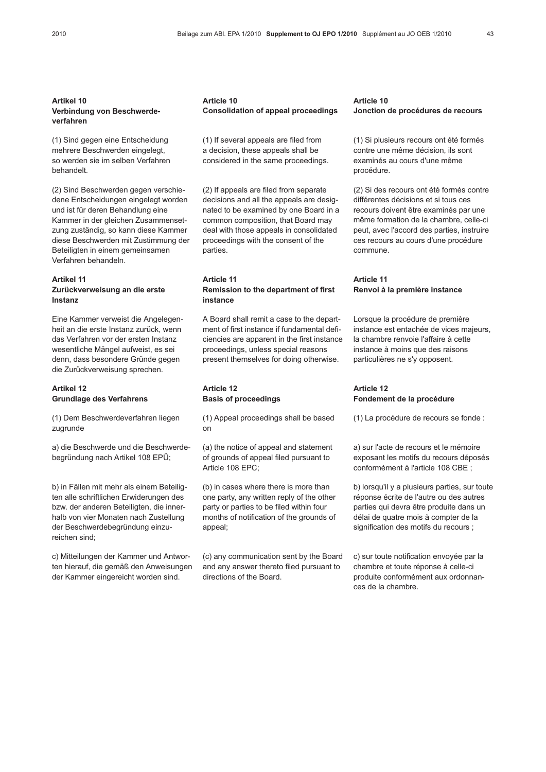## Artikel 10 Verbindung von Beschwerdeverfahren

(1) Sind gegen eine Entscheidung mehrere Beschwerden eingelegt, so werden sie im selben Verfahren behandelt.

(2) Sind Beschwerden gegen verschiedene Entscheidungen eingelegt worden und ist für deren Behandlung eine Kammer in der gleichen Zusammensetzung zuständig, so kann diese Kammer diese Beschwerden mit Zustimmung der Beteiligten in einem gemeinsamen Verfahren behandeln.

#### Artikel 11

## Zurückverweisung an die erste Instanz

Eine Kammer verweist die Angelegenheit an die erste Instanz zurück, wenn das Verfahren vor der ersten Instanz wesentliche Mängel aufweist, es sei denn, dass besondere Gründe gegen die Zurückverweisung sprechen.

### Artikel 12 Grundlage des Verfahrens

(1) Dem Beschwerdeverfahren liegen zugrunde

a) die Beschwerde und die Beschwerdebegründung nach Artikel 108 EPÜ;

b) in Fällen mit mehr als einem Beteiligten alle schriftlichen Erwiderungen des bzw. der anderen Beteiligten, die innerhalb von vier Monaten nach Zustellung der Beschwerdebegründung einzureichen sind;

c) Mitteilungen der Kammer und Antworten hierauf, die gemäß den Anweisungen der Kammer eingereicht worden sind.

#### Article 10 Consolidation of appeal proceedings

(1) If several appeals are filed from a decision, these appeals shall be considered in the same proceedings.

(2) If appeals are filed from separate decisions and all the appeals are designated to be examined by one Board in a common composition, that Board may deal with those appeals in consolidated proceedings with the consent of the parties.

#### Article 11 Remission to the department of first instance

A Board shall remit a case to the department of first instance if fundamental deficiencies are apparent in the first instance proceedings, unless special reasons present themselves for doing otherwise.

## Article 12 Basis of proceedings

(1) Appeal proceedings shall be based on

(a) the notice of appeal and statement of grounds of appeal filed pursuant to Article 108 EPC;

(b) in cases where there is more than one party, any written reply of the other party or parties to be filed within four months of notification of the grounds of appeal;

(c) any communication sent by the Board and any answer thereto filed pursuant to directions of the Board.

#### Article 10 Jonction de procédures de recours

(1) Si plusieurs recours ont été formés contre une même décision, ils sont examinés au cours d'une même procédure.

(2) Si des recours ont été formés contre différentes décisions et si tous ces recours doivent être examinés par une même formation de la chambre, celle-ci peut, avec l'accord des parties, instruire ces recours au cours d'une procédure commune.

#### Article 11 Renvoi à la première instance

Lorsque la procédure de première instance est entachée de vices majeurs, la chambre renvoie l'affaire à cette instance à moins que des raisons particulières ne s'y opposent.

### Article 12 Fondement de la procédure

(1) La procédure de recours se fonde :

a) sur l'acte de recours et le mémoire exposant les motifs du recours déposés conformément à l'article 108 CBE ;

b) lorsqu'il y a plusieurs parties, sur toute réponse écrite de l'autre ou des autres parties qui devra être produite dans un délai de quatre mois à compter de la signification des motifs du recours ;

c) sur toute notification envoyée par la chambre et toute réponse à celle-ci produite conformément aux ordonnances de la chambre.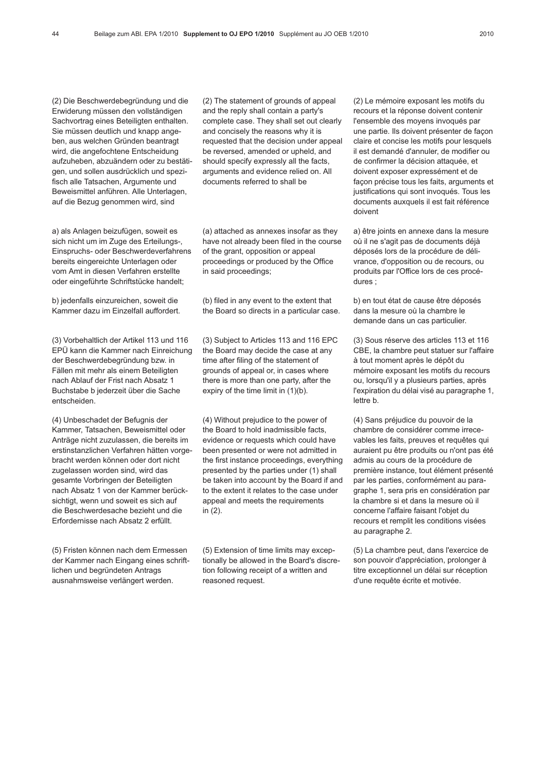(2) Die Beschwerdebegründung und die Erwiderung müssen den vollständigen Sachvortrag eines Beteiligten enthalten. Sie müssen deutlich und knapp angeben, aus welchen Gründen beantragt wird, die angefochtene Entscheidung aufzuheben, abzuändern oder zu bestätigen, und sollen ausdrücklich und spezifisch alle Tatsachen, Argumente und Beweismittel anführen. Alle Unterlagen, auf die Bezug genommen wird, sind

a) als Anlagen beizufügen, soweit es sich nicht um im Zuge des Erteilungs-, Einspruchs- oder Beschwerdeverfahrens bereits eingereichte Unterlagen oder vom Amt in diesen Verfahren erstellte oder eingeführte Schriftstücke handelt;

b) jedenfalls einzureichen, soweit die Kammer dazu im Einzelfall auffordert.

(3) Vorbehaltlich der Artikel 113 und 116 EPÜ kann die Kammer nach Einreichung der Beschwerdebegründung bzw. in Fällen mit mehr als einem Beteiligten nach Ablauf der Frist nach Absatz 1 Buchstabe b jederzeit über die Sache entscheiden.

(4) Unbeschadet der Befugnis der Kammer, Tatsachen, Beweismittel oder Anträge nicht zuzulassen, die bereits im erstinstanzlichen Verfahren hätten vorgebracht werden können oder dort nicht zugelassen worden sind, wird das gesamte Vorbringen der Beteiligten nach Absatz 1 von der Kammer berücksichtigt, wenn und soweit es sich auf die Beschwerdesache bezieht und die Erfordernisse nach Absatz 2 erfüllt.

(5) Fristen können nach dem Ermessen der Kammer nach Eingang eines schriftlichen und begründeten Antrags ausnahmsweise verlängert werden.

(2) The statement of grounds of appeal and the reply shall contain a party's complete case. They shall set out clearly and concisely the reasons why it is requested that the decision under appeal be reversed, amended or upheld, and should specify expressly all the facts, arguments and evidence relied on. All documents referred to shall be

(a) attached as annexes insofar as they have not already been filed in the course of the grant, opposition or appeal proceedings or produced by the Office in said proceedings;

(b) filed in any event to the extent that the Board so directs in a particular case.

(3) Subject to Articles 113 and 116 EPC the Board may decide the case at any time after filing of the statement of grounds of appeal or, in cases where there is more than one party, after the expiry of the time limit in (1)(b).

(4) Without prejudice to the power of the Board to hold inadmissible facts, evidence or requests which could have been presented or were not admitted in the first instance proceedings, everything presented by the parties under (1) shall be taken into account by the Board if and to the extent it relates to the case under appeal and meets the requirements in (2).

(5) Extension of time limits may exceptionally be allowed in the Board's discretion following receipt of a written and reasoned request.

(2) Le mémoire exposant les motifs du recours et la réponse doivent contenir l'ensemble des moyens invoqués par une partie. Ils doivent présenter de façon claire et concise les motifs pour lesquels il est demandé d'annuler, de modifier ou de confirmer la décision attaquée, et doivent exposer expressément et de façon précise tous les faits, arguments et justifications qui sont invoqués. Tous les documents auxquels il est fait référence doivent

a) être joints en annexe dans la mesure où il ne s'agit pas de documents déjà déposés lors de la procédure de délivrance, d'opposition ou de recours, ou produits par l'Office lors de ces procédures ;

b) en tout état de cause être déposés dans la mesure où la chambre le demande dans un cas particulier.

(3) Sous réserve des articles 113 et 116 CBE, la chambre peut statuer sur l'affaire à tout moment après le dépôt du mémoire exposant les motifs du recours ou, lorsqu'il y a plusieurs parties, après l'expiration du délai visé au paragraphe 1, lettre b.

(4) Sans préjudice du pouvoir de la chambre de considérer comme irrecevables les faits, preuves et requêtes qui auraient pu être produits ou n'ont pas été admis au cours de la procédure de première instance, tout élément présenté par les parties, conformément au paragraphe 1, sera pris en considération par la chambre si et dans la mesure où il concerne l'affaire faisant l'objet du recours et remplit les conditions visées au paragraphe 2.

(5) La chambre peut, dans l'exercice de son pouvoir d'appréciation, prolonger à titre exceptionnel un délai sur réception d'une requête écrite et motivée.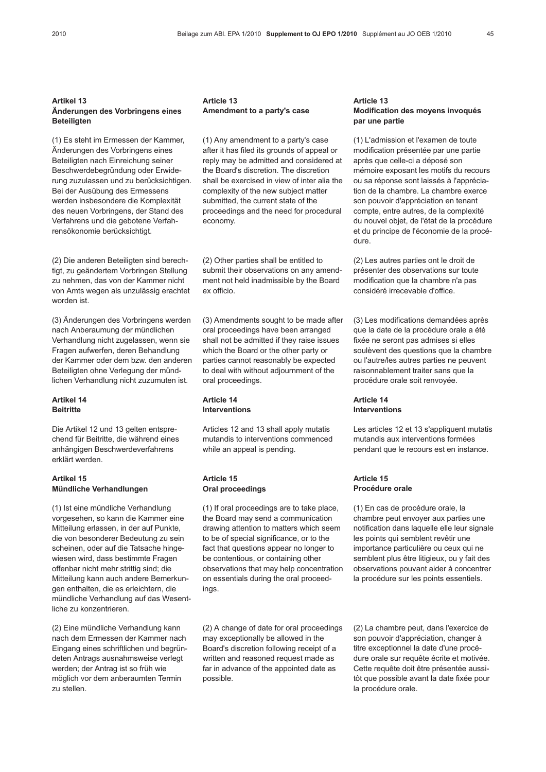### Artikel 13 Änderungen des Vorbringens eines Beteiligten

(1) Es steht im Ermessen der Kammer, Änderungen des Vorbringens eines Beteiligten nach Einreichung seiner Beschwerdebegründung oder Erwiderung zuzulassen und zu berücksichtigen. Bei der Ausübung des Ermessens werden insbesondere die Komplexität des neuen Vorbringens, der Stand des Verfahrens und die gebotene Verfahrensökonomie berücksichtigt.

(2) Die anderen Beteiligten sind berechtigt, zu geändertem Vorbringen Stellung zu nehmen, das von der Kammer nicht von Amts wegen als unzulässig erachtet worden ist.

(3) Änderungen des Vorbringens werden nach Anberaumung der mündlichen Verhandlung nicht zugelassen, wenn sie Fragen aufwerfen, deren Behandlung der Kammer oder dem bzw. den anderen Beteiligten ohne Verlegung der mündlichen Verhandlung nicht zuzumuten ist.

### Artikel 14 **Beitritte**

Die Artikel 12 und 13 gelten entsprechend für Beitritte, die während eines anhängigen Beschwerdeverfahrens erklärt werden.

## Artikel 15 Mündliche Verhandlungen

(1) Ist eine mündliche Verhandlung vorgesehen, so kann die Kammer eine Mitteilung erlassen, in der auf Punkte, die von besonderer Bedeutung zu sein scheinen, oder auf die Tatsache hingewiesen wird, dass bestimmte Fragen offenbar nicht mehr strittig sind; die Mitteilung kann auch andere Bemerkungen enthalten, die es erleichtern, die mündliche Verhandlung auf das Wesentliche zu konzentrieren.

(2) Eine mündliche Verhandlung kann nach dem Ermessen der Kammer nach Eingang eines schriftlichen und begründeten Antrags ausnahmsweise verlegt werden; der Antrag ist so früh wie möglich vor dem anberaumten Termin zu stellen.

#### Article 13 Amendment to a party's case

(1) Any amendment to a party's case after it has filed its grounds of appeal or reply may be admitted and considered at the Board's discretion. The discretion shall be exercised in view of inter alia the complexity of the new subject matter submitted, the current state of the proceedings and the need for procedural economy.

(2) Other parties shall be entitled to submit their observations on any amendment not held inadmissible by the Board ex officio.

(3) Amendments sought to be made after oral proceedings have been arranged shall not be admitted if they raise issues which the Board or the other party or parties cannot reasonably be expected to deal with without adjournment of the oral proceedings.

#### Article 14 Interventions

Articles 12 and 13 shall apply mutatis mutandis to interventions commenced while an appeal is pending.

## Article 15 Oral proceedings

(1) If oral proceedings are to take place, the Board may send a communication drawing attention to matters which seem to be of special significance, or to the fact that questions appear no longer to be contentious, or containing other observations that may help concentration on essentials during the oral proceedings.

(2) A change of date for oral proceedings may exceptionally be allowed in the Board's discretion following receipt of a written and reasoned request made as far in advance of the appointed date as possible.

### Article 13 Modification des moyens invoqués par une partie

(1) L'admission et l'examen de toute modification présentée par une partie après que celle-ci a déposé son mémoire exposant les motifs du recours ou sa réponse sont laissés à l'appréciation de la chambre. La chambre exerce son pouvoir d'appréciation en tenant compte, entre autres, de la complexité du nouvel objet, de l'état de la procédure et du principe de l'économie de la procédure.

(2) Les autres parties ont le droit de présenter des observations sur toute modification que la chambre n'a pas considéré irrecevable d'office.

(3) Les modifications demandées après que la date de la procédure orale a été fixée ne seront pas admises si elles soulèvent des questions que la chambre ou l'autre/les autres parties ne peuvent raisonnablement traiter sans que la procédure orale soit renvoyée.

## Article 14 Interventions

Les articles 12 et 13 s'appliquent mutatis mutandis aux interventions formées pendant que le recours est en instance.

#### Article 15 Procédure orale

(1) En cas de procédure orale, la chambre peut envoyer aux parties une notification dans laquelle elle leur signale les points qui semblent revêtir une importance particulière ou ceux qui ne semblent plus être litigieux, ou y fait des observations pouvant aider à concentrer la procédure sur les points essentiels.

(2) La chambre peut, dans l'exercice de son pouvoir d'appréciation, changer à titre exceptionnel la date d'une procédure orale sur requête écrite et motivée. Cette requête doit être présentée aussitôt que possible avant la date fixée pour la procédure orale.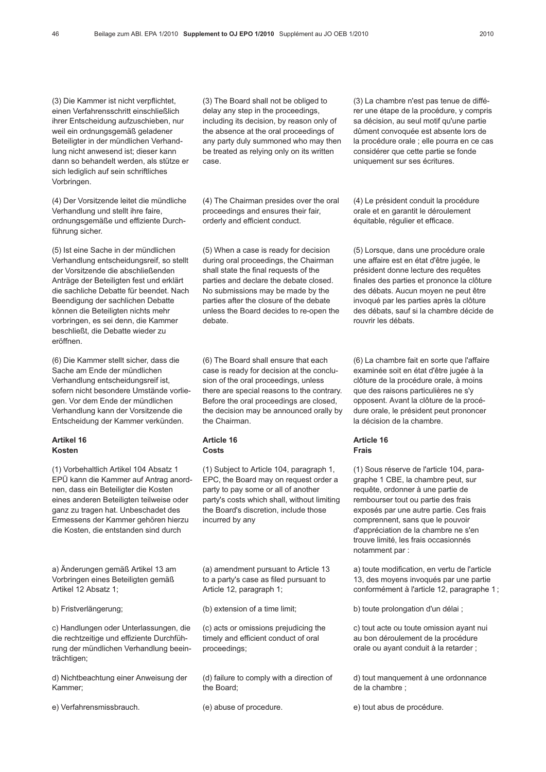(3) Die Kammer ist nicht verpflichtet, einen Verfahrensschritt einschließlich ihrer Entscheidung aufzuschieben, nur weil ein ordnungsgemäß geladener Beteiligter in der mündlichen Verhandlung nicht anwesend ist; dieser kann dann so behandelt werden, als stütze er sich lediglich auf sein schriftliches Vorbringen.

(4) Der Vorsitzende leitet die mündliche Verhandlung und stellt ihre faire, ordnungsgemäße und effiziente Durchführung sicher.

(5) Ist eine Sache in der mündlichen Verhandlung entscheidungsreif, so stellt der Vorsitzende die abschließenden Anträge der Beteiligten fest und erklärt die sachliche Debatte für beendet. Nach Beendigung der sachlichen Debatte können die Beteiligten nichts mehr vorbringen, es sei denn, die Kammer beschließt, die Debatte wieder zu eröffnen.

(6) Die Kammer stellt sicher, dass die Sache am Ende der mündlichen Verhandlung entscheidungsreif ist, sofern nicht besondere Umstände vorliegen. Vor dem Ende der mündlichen Verhandlung kann der Vorsitzende die Entscheidung der Kammer verkünden.

## Artikel 16 Kosten

(1) Vorbehaltlich Artikel 104 Absatz 1 EPÜ kann die Kammer auf Antrag anordnen, dass ein Beteiligter die Kosten eines anderen Beteiligten teilweise oder ganz zu tragen hat. Unbeschadet des Ermessens der Kammer gehören hierzu die Kosten, die entstanden sind durch

a) Änderungen gemäß Artikel 13 am Vorbringen eines Beteiligten gemäß Artikel 12 Absatz 1;

b) Fristverlängerung;

c) Handlungen oder Unterlassungen, die die rechtzeitige und effiziente Durchführung der mündlichen Verhandlung beeinträchtigen;

d) Nichtbeachtung einer Anweisung der Kammer;

e) Verfahrensmissbrauch.

(3) The Board shall not be obliged to delay any step in the proceedings, including its decision, by reason only of the absence at the oral proceedings of any party duly summoned who may then be treated as relying only on its written case.

(4) The Chairman presides over the oral proceedings and ensures their fair, orderly and efficient conduct.

(5) When a case is ready for decision during oral proceedings, the Chairman shall state the final requests of the parties and declare the debate closed. No submissions may be made by the parties after the closure of the debate unless the Board decides to re-open the debate.

(6) The Board shall ensure that each case is ready for decision at the conclusion of the oral proceedings, unless there are special reasons to the contrary. Before the oral proceedings are closed, the decision may be announced orally by the Chairman.

## Article 16 **Costs**

(1) Subject to Article 104, paragraph 1, EPC, the Board may on request order a party to pay some or all of another party's costs which shall, without limiting the Board's discretion, include those incurred by any

(a) amendment pursuant to Article 13 to a party's case as filed pursuant to Article 12, paragraph 1;

(b) extension of a time limit;

(c) acts or omissions prejudicing the timely and efficient conduct of oral proceedings;

(d) failure to comply with a direction of the Board;

(e) abuse of procedure.

(3) La chambre n'est pas tenue de différer une étape de la procédure, y compris sa décision, au seul motif qu'une partie dûment convoquée est absente lors de la procédure orale ; elle pourra en ce cas considérer que cette partie se fonde uniquement sur ses écritures.

(4) Le président conduit la procédure orale et en garantit le déroulement équitable, régulier et efficace.

(5) Lorsque, dans une procédure orale une affaire est en état d'être jugée, le président donne lecture des requêtes finales des parties et prononce la clôture des débats. Aucun moyen ne peut être invoqué par les parties après la clôture des débats, sauf si la chambre décide de rouvrir les débats.

(6) La chambre fait en sorte que l'affaire examinée soit en état d'être jugée à la clôture de la procédure orale, à moins que des raisons particulières ne s'y opposent. Avant la clôture de la procédure orale, le président peut prononcer la décision de la chambre.

#### Article 16 Frais

(1) Sous réserve de l'article 104, paragraphe 1 CBE, la chambre peut, sur requête, ordonner à une partie de rembourser tout ou partie des frais exposés par une autre partie. Ces frais comprennent, sans que le pouvoir d'appréciation de la chambre ne s'en trouve limité, les frais occasionnés notamment par :

a) toute modification, en vertu de l'article 13, des moyens invoqués par une partie conformément à l'article 12, paragraphe 1 ;

b) toute prolongation d'un délai ;

c) tout acte ou toute omission ayant nui au bon déroulement de la procédure orale ou ayant conduit à la retarder ;

d) tout manquement à une ordonnance de la chambre ;

e) tout abus de procédure.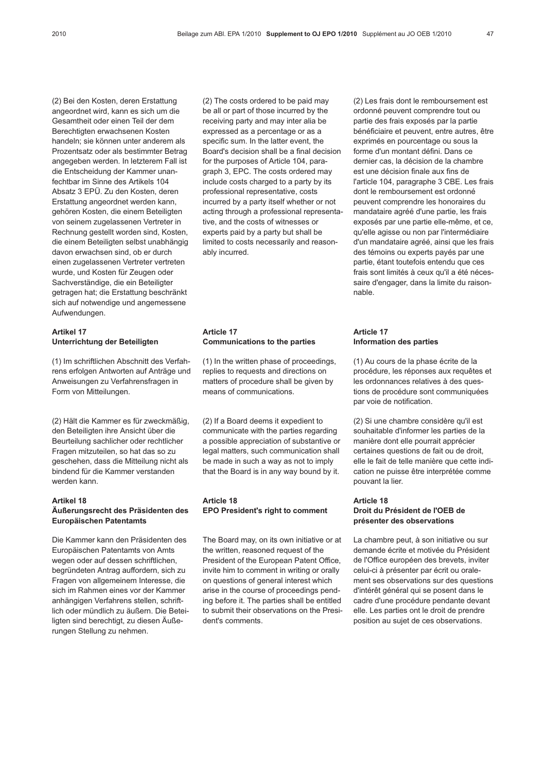(2) Bei den Kosten, deren Erstattung angeordnet wird, kann es sich um die Gesamtheit oder einen Teil der dem Berechtigten erwachsenen Kosten handeln; sie können unter anderem als Prozentsatz oder als bestimmter Betrag angegeben werden. In letzterem Fall ist die Entscheidung der Kammer unanfechtbar im Sinne des Artikels 104 Absatz 3 EPÜ. Zu den Kosten, deren Erstattung angeordnet werden kann, gehören Kosten, die einem Beteiligten von seinem zugelassenen Vertreter in Rechnung gestellt worden sind, Kosten, die einem Beteiligten selbst unabhängig davon erwachsen sind, ob er durch einen zugelassenen Vertreter vertreten wurde, und Kosten für Zeugen oder Sachverständige, die ein Beteiligter getragen hat; die Erstattung beschränkt sich auf notwendige und angemessene Aufwendungen.

#### Artikel 17 Unterrichtung der Beteiligten

(1) Im schriftlichen Abschnitt des Verfahrens erfolgen Antworten auf Anträge und Anweisungen zu Verfahrensfragen in Form von Mitteilungen.

(2) Hält die Kammer es für zweckmäßig, den Beteiligten ihre Ansicht über die Beurteilung sachlicher oder rechtlicher Fragen mitzuteilen, so hat das so zu geschehen, dass die Mitteilung nicht als bindend für die Kammer verstanden werden kann.

## Artikel 18 Äußerungsrecht des Präsidenten des Europäischen Patentamts

Die Kammer kann den Präsidenten des Europäischen Patentamts von Amts wegen oder auf dessen schriftlichen, begründeten Antrag auffordern, sich zu Fragen von allgemeinem Interesse, die sich im Rahmen eines vor der Kammer anhängigen Verfahrens stellen, schriftlich oder mündlich zu äußern. Die Beteiligten sind berechtigt, zu diesen Äußerungen Stellung zu nehmen.

(2) The costs ordered to be paid may be all or part of those incurred by the receiving party and may inter alia be expressed as a percentage or as a specific sum. In the latter event, the Board's decision shall be a final decision for the purposes of Article 104, paragraph 3, EPC. The costs ordered may include costs charged to a party by its professional representative, costs incurred by a party itself whether or not acting through a professional representative, and the costs of witnesses or experts paid by a party but shall be limited to costs necessarily and reasonably incurred.

### Article 17 Communications to the parties

(1) In the written phase of proceedings, replies to requests and directions on matters of procedure shall be given by means of communications.

(2) If a Board deems it expedient to communicate with the parties regarding a possible appreciation of substantive or legal matters, such communication shall be made in such a way as not to imply that the Board is in any way bound by it.

## Article 18 EPO President's right to comment

The Board may, on its own initiative or at the written, reasoned request of the President of the European Patent Office, invite him to comment in writing or orally on questions of general interest which arise in the course of proceedings pending before it. The parties shall be entitled to submit their observations on the President's comments.

(2) Les frais dont le remboursement est ordonné peuvent comprendre tout ou partie des frais exposés par la partie bénéficiaire et peuvent, entre autres, être exprimés en pourcentage ou sous la forme d'un montant défini. Dans ce dernier cas, la décision de la chambre est une décision finale aux fins de l'article 104, paragraphe 3 CBE. Les frais dont le remboursement est ordonné peuvent comprendre les honoraires du mandataire agréé d'une partie, les frais exposés par une partie elle-même, et ce, qu'elle agisse ou non par l'intermédiaire d'un mandataire agréé, ainsi que les frais des témoins ou experts payés par une partie, étant toutefois entendu que ces frais sont limités à ceux qu'il a été nécessaire d'engager, dans la limite du raisonnable.

#### Article 17 Information des parties

(1) Au cours de la phase écrite de la procédure, les réponses aux requêtes et les ordonnances relatives à des questions de procédure sont communiquées par voie de notification.

(2) Si une chambre considère qu'il est souhaitable d'informer les parties de la manière dont elle pourrait apprécier certaines questions de fait ou de droit, elle le fait de telle manière que cette indication ne puisse être interprétée comme pouvant la lier.

## Article 18

## Droit du Président de l'OEB de présenter des observations

La chambre peut, à son initiative ou sur demande écrite et motivée du Président de l'Office européen des brevets, inviter celui-ci à présenter par écrit ou oralement ses observations sur des questions d'intérêt général qui se posent dans le cadre d'une procédure pendante devant elle. Les parties ont le droit de prendre position au sujet de ces observations.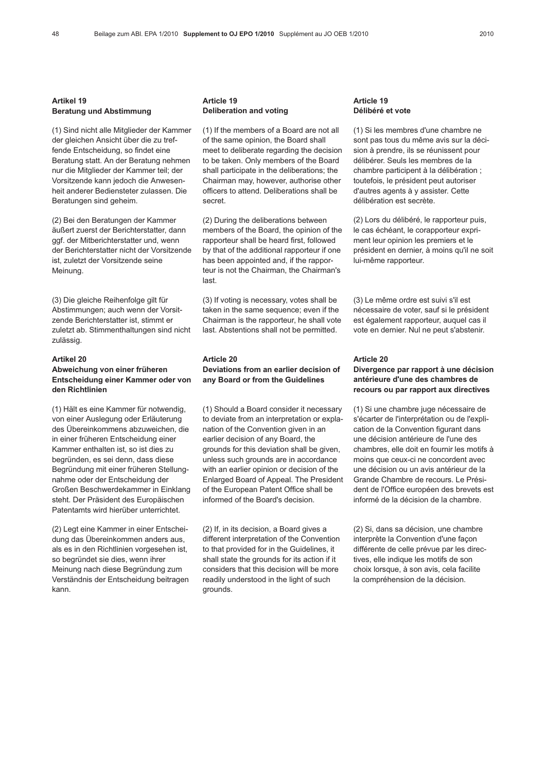### Artikel 19 Beratung und Abstimmung

(1) Sind nicht alle Mitglieder der Kammer der gleichen Ansicht über die zu treffende Entscheidung, so findet eine Beratung statt. An der Beratung nehmen nur die Mitglieder der Kammer teil; der Vorsitzende kann jedoch die Anwesenheit anderer Bediensteter zulassen. Die Beratungen sind geheim.

(2) Bei den Beratungen der Kammer äußert zuerst der Berichterstatter, dann ggf. der Mitberichterstatter und, wenn der Berichterstatter nicht der Vorsitzende ist, zuletzt der Vorsitzende seine Meinung.

(3) Die gleiche Reihenfolge gilt für Abstimmungen; auch wenn der Vorsitzende Berichterstatter ist, stimmt er zuletzt ab. Stimmenthaltungen sind nicht zulässig.

#### Artikel 20 Abweichung von einer früheren Entscheidung einer Kammer oder von den Richtlinien

(1) Hält es eine Kammer für notwendig, von einer Auslegung oder Erläuterung des Übereinkommens abzuweichen, die in einer früheren Entscheidung einer Kammer enthalten ist, so ist dies zu begründen, es sei denn, dass diese Begründung mit einer früheren Stellungnahme oder der Entscheidung der Großen Beschwerdekammer in Einklang steht. Der Präsident des Europäischen Patentamts wird hierüber unterrichtet.

(2) Legt eine Kammer in einer Entscheidung das Übereinkommen anders aus, als es in den Richtlinien vorgesehen ist, so begründet sie dies, wenn ihrer Meinung nach diese Begründung zum Verständnis der Entscheidung beitragen kann.

#### Article 19 Deliberation and voting

(1) If the members of a Board are not all of the same opinion, the Board shall meet to deliberate regarding the decision to be taken. Only members of the Board shall participate in the deliberations; the Chairman may, however, authorise other officers to attend. Deliberations shall be secret.

(2) During the deliberations between members of the Board, the opinion of the rapporteur shall be heard first, followed by that of the additional rapporteur if one has been appointed and, if the rapporteur is not the Chairman, the Chairman's last.

(3) If voting is necessary, votes shall be taken in the same sequence; even if the Chairman is the rapporteur, he shall vote last. Abstentions shall not be permitted.

## Article 20 Deviations from an earlier decision of any Board or from the Guidelines

(1) Should a Board consider it necessary to deviate from an interpretation or explanation of the Convention given in an earlier decision of any Board, the grounds for this deviation shall be given, unless such grounds are in accordance with an earlier opinion or decision of the Enlarged Board of Appeal. The President of the European Patent Office shall be informed of the Board's decision.

(2) If, in its decision, a Board gives a different interpretation of the Convention to that provided for in the Guidelines, it shall state the grounds for its action if it considers that this decision will be more readily understood in the light of such grounds.

#### Article 19 Délibéré et vote

(1) Si les membres d'une chambre ne sont pas tous du même avis sur la décision à prendre, ils se réunissent pour délibérer. Seuls les membres de la chambre participent à la délibération ; toutefois, le président peut autoriser d'autres agents à y assister. Cette délibération est secrète.

(2) Lors du délibéré, le rapporteur puis, le cas échéant, le corapporteur expriment leur opinion les premiers et le président en dernier, à moins qu'il ne soit lui-même rapporteur.

(3) Le même ordre est suivi s'il est nécessaire de voter, sauf si le président est également rapporteur, auquel cas il vote en dernier. Nul ne peut s'abstenir.

## Article 20

### Divergence par rapport à une décision antérieure d'une des chambres de recours ou par rapport aux directives

(1) Si une chambre juge nécessaire de s'écarter de l'interprétation ou de l'explication de la Convention figurant dans une décision antérieure de l'une des chambres, elle doit en fournir les motifs à moins que ceux-ci ne concordent avec une décision ou un avis antérieur de la Grande Chambre de recours. Le Président de l'Office européen des brevets est informé de la décision de la chambre.

(2) Si, dans sa décision, une chambre interprète la Convention d'une façon différente de celle prévue par les directives, elle indique les motifs de son choix lorsque, à son avis, cela facilite la compréhension de la décision.